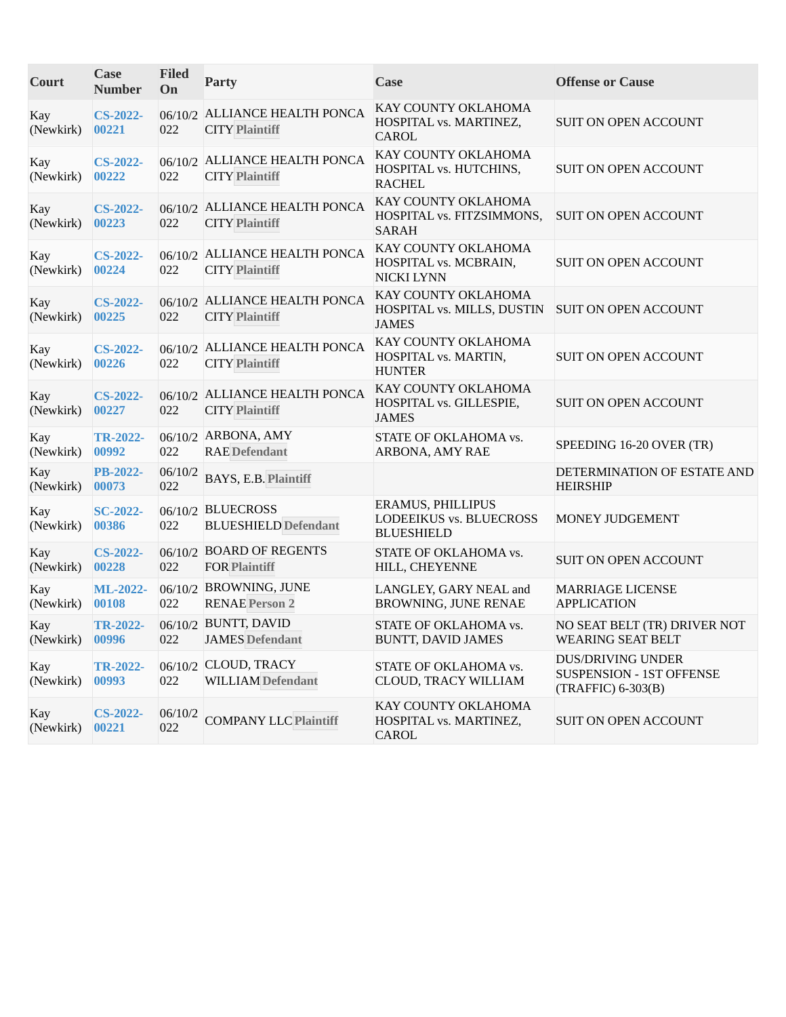| Court                  | Case<br><b>Number</b>    | <b>Filed</b><br>On | <b>Party</b>                                           | Case                                                                     | <b>Offense or Cause</b>                                                           |
|------------------------|--------------------------|--------------------|--------------------------------------------------------|--------------------------------------------------------------------------|-----------------------------------------------------------------------------------|
| Kay<br>(Newkirk)       | <b>CS-2022-</b><br>00221 | 022                | 06/10/2 ALLIANCE HEALTH PONCA<br><b>CITY Plaintiff</b> | KAY COUNTY OKLAHOMA<br>HOSPITAL vs. MARTINEZ,<br><b>CAROL</b>            | SUIT ON OPEN ACCOUNT                                                              |
| Kay<br>(Newkirk)       | <b>CS-2022-</b><br>00222 | 022                | 06/10/2 ALLIANCE HEALTH PONCA<br><b>CITY Plaintiff</b> | KAY COUNTY OKLAHOMA<br>HOSPITAL vs. HUTCHINS,<br><b>RACHEL</b>           | SUIT ON OPEN ACCOUNT                                                              |
| Kay<br>(Newkirk)       | <b>CS-2022-</b><br>00223 | 022                | 06/10/2 ALLIANCE HEALTH PONCA<br><b>CITY Plaintiff</b> | KAY COUNTY OKLAHOMA<br>HOSPITAL vs. FITZSIMMONS,<br><b>SARAH</b>         | <b>SUIT ON OPEN ACCOUNT</b>                                                       |
| Kay<br>(Newkirk)       | <b>CS-2022-</b><br>00224 | 022                | 06/10/2 ALLIANCE HEALTH PONCA<br><b>CITY Plaintiff</b> | KAY COUNTY OKLAHOMA<br>HOSPITAL vs. MCBRAIN,<br><b>NICKI LYNN</b>        | <b>SUIT ON OPEN ACCOUNT</b>                                                       |
| Kay<br>(Newkirk)       | <b>CS-2022-</b><br>00225 | 022                | 06/10/2 ALLIANCE HEALTH PONCA<br><b>CITY Plaintiff</b> | KAY COUNTY OKLAHOMA<br>HOSPITAL vs. MILLS, DUSTIN<br><b>JAMES</b>        | <b>SUIT ON OPEN ACCOUNT</b>                                                       |
| Kay<br>(Newkirk)       | <b>CS-2022-</b><br>00226 | 022                | 06/10/2 ALLIANCE HEALTH PONCA<br><b>CITY Plaintiff</b> | KAY COUNTY OKLAHOMA<br>HOSPITAL vs. MARTIN,<br><b>HUNTER</b>             | SUIT ON OPEN ACCOUNT                                                              |
| Kay<br>(Newkirk)       | <b>CS-2022-</b><br>00227 | 022                | 06/10/2 ALLIANCE HEALTH PONCA<br><b>CITY Plaintiff</b> | KAY COUNTY OKLAHOMA<br>HOSPITAL vs. GILLESPIE,<br><b>JAMES</b>           | SUIT ON OPEN ACCOUNT                                                              |
| Kay<br>(Newkirk)       | <b>TR-2022-</b><br>00992 | 022                | 06/10/2 ARBONA, AMY<br><b>RAE</b> Defendant            | STATE OF OKLAHOMA vs.<br>ARBONA, AMY RAE                                 | SPEEDING 16-20 OVER (TR)                                                          |
| Kay<br>(Newkirk)       | <b>PB-2022-</b><br>00073 | 06/10/2<br>022     | BAYS, E.B. Plaintiff                                   |                                                                          | DETERMINATION OF ESTATE AND<br><b>HEIRSHIP</b>                                    |
| Kay<br>(Newkirk)       | <b>SC-2022-</b><br>00386 | 022                | 06/10/2 BLUECROSS<br><b>BLUESHIELD Defendant</b>       | <b>ERAMUS, PHILLIPUS</b><br>LODEEIKUS vs. BLUECROSS<br><b>BLUESHIELD</b> | MONEY JUDGEMENT                                                                   |
| Kay<br>(Newkirk)       | <b>CS-2022-</b><br>00228 | 022                | 06/10/2 BOARD OF REGENTS<br><b>FOR Plaintiff</b>       | STATE OF OKLAHOMA vs.<br>HILL, CHEYENNE                                  | <b>SUIT ON OPEN ACCOUNT</b>                                                       |
| Kay<br>(Newkirk)       | <b>ML-2022-</b><br>00108 | 022                | 06/10/2 BROWNING, JUNE<br><b>RENAE Person 2</b>        | LANGLEY, GARY NEAL and<br>BROWNING, JUNE RENAE                           | <b>MARRIAGE LICENSE</b><br><b>APPLICATION</b>                                     |
| Kay<br>(Newkirk) 00996 | <b>TR-2022-</b>          | 022                | 06/10/2 BUNTT, DAVID<br><b>JAMES Defendant</b>         | STATE OF OKLAHOMA vs.<br><b>BUNTT, DAVID JAMES</b>                       | NO SEAT BELT (TR) DRIVER NOT<br><b>WEARING SEAT BELT</b>                          |
| Kay<br>(Newkirk)       | <b>TR-2022-</b><br>00993 | 022                | 06/10/2 CLOUD, TRACY<br><b>WILLIAM</b> Defendant       | STATE OF OKLAHOMA vs.<br><b>CLOUD, TRACY WILLIAM</b>                     | <b>DUS/DRIVING UNDER</b><br><b>SUSPENSION - 1ST OFFENSE</b><br>(TRAFFIC) 6-303(B) |
| Kay<br>(Newkirk)       | <b>CS-2022-</b><br>00221 | 06/10/2<br>022     | <b>COMPANY LLC Plaintiff</b>                           | KAY COUNTY OKLAHOMA<br>HOSPITAL vs. MARTINEZ,<br><b>CAROL</b>            | SUIT ON OPEN ACCOUNT                                                              |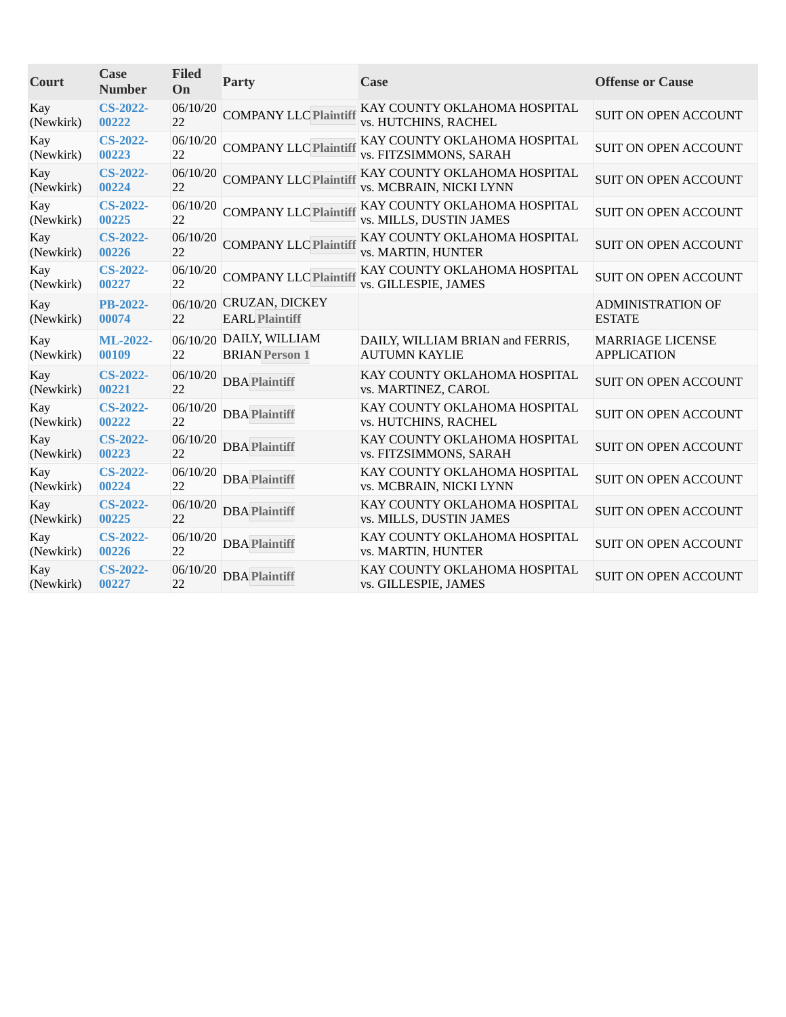| Court            | Case<br><b>Number</b>    | <b>Filed</b><br>On | Party                                            | Case                                                     | <b>Offense or Cause</b>                       |
|------------------|--------------------------|--------------------|--------------------------------------------------|----------------------------------------------------------|-----------------------------------------------|
| Kay<br>(Newkirk) | <b>CS-2022-</b><br>00222 | 06/10/20<br>22     | <b>COMPANY LLC Plaintiff</b>                     | KAY COUNTY OKLAHOMA HOSPITAL<br>vs. HUTCHINS, RACHEL     | <b>SUIT ON OPEN ACCOUNT</b>                   |
| Kay<br>(Newkirk) | $CS-2022-$<br>00223      | 06/10/20<br>22     | <b>COMPANY LLC Plaintif</b>                      | KAY COUNTY OKLAHOMA HOSPITAL<br>vs. FITZSIMMONS, SARAH   | <b>SUIT ON OPEN ACCOUNT</b>                   |
| Kay<br>(Newkirk) | <b>CS-2022-</b><br>00224 | 06/10/20<br>22     | <b>COMPANY LLC Plaintiff</b>                     | KAY COUNTY OKLAHOMA HOSPITAL<br>vs. MCBRAIN, NICKI LYNN  | <b>SUIT ON OPEN ACCOUNT</b>                   |
| Kay<br>(Newkirk) | <b>CS-2022-</b><br>00225 | 06/10/20<br>22     | <b>COMPANY LLC Plaintif</b>                      | KAY COUNTY OKLAHOMA HOSPITAL<br>vs. MILLS, DUSTIN JAMES  | <b>SUIT ON OPEN ACCOUNT</b>                   |
| Kay<br>(Newkirk) | $CS-2022-$<br>00226      | 06/10/20<br>22     | <b>COMPANY LLC Plaintiff</b>                     | KAY COUNTY OKLAHOMA HOSPITAL<br>vs. MARTIN, HUNTER       | <b>SUIT ON OPEN ACCOUNT</b>                   |
| Kay<br>(Newkirk) | $CS-2022-$<br>00227      | 06/10/20<br>22     | <b>COMPANY LLC Plaintif</b>                      | KAY COUNTY OKLAHOMA HOSPITAL<br>vs. GILLESPIE, JAMES     | <b>SUIT ON OPEN ACCOUNT</b>                   |
| Kay<br>(Newkirk) | <b>PB-2022-</b><br>00074 | 22                 | 06/10/20 CRUZAN, DICKEY<br><b>EARL Plaintiff</b> |                                                          | <b>ADMINISTRATION OF</b><br><b>ESTATE</b>     |
| Kay<br>(Newkirk) | ML-2022-<br>00109        | 22                 | 06/10/20 DAILY, WILLIAM<br><b>BRIAN</b> Person 1 | DAILY, WILLIAM BRIAN and FERRIS,<br><b>AUTUMN KAYLIE</b> | <b>MARRIAGE LICENSE</b><br><b>APPLICATION</b> |
| Kay<br>(Newkirk) | $CS-2022-$<br>00221      | 06/10/20<br>22     | <b>DBA Plaintiff</b>                             | KAY COUNTY OKLAHOMA HOSPITAL<br>vs. MARTINEZ, CAROL      | <b>SUIT ON OPEN ACCOUNT</b>                   |
| Kay<br>(Newkirk) | <b>CS-2022-</b><br>00222 | 06/10/20<br>22     | <b>DBA Plaintiff</b>                             | KAY COUNTY OKLAHOMA HOSPITAL<br>vs. HUTCHINS, RACHEL     | <b>SUIT ON OPEN ACCOUNT</b>                   |
| Kay<br>(Newkirk) | $CS-2022-$<br>00223      | 06/10/20<br>22     | <b>DBA Plaintiff</b>                             | KAY COUNTY OKLAHOMA HOSPITAL<br>vs. FITZSIMMONS, SARAH   | <b>SUIT ON OPEN ACCOUNT</b>                   |
| Kay<br>(Newkirk) | $CS-2022-$<br>00224      | 06/10/20<br>22     | <b>DBA</b> Plaintiff                             | KAY COUNTY OKLAHOMA HOSPITAL<br>vs. MCBRAIN, NICKI LYNN  | <b>SUIT ON OPEN ACCOUNT</b>                   |
| Kay<br>(Newkirk) | <b>CS-2022-</b><br>00225 | 06/10/20<br>22     | <b>DBA Plaintiff</b>                             | KAY COUNTY OKLAHOMA HOSPITAL<br>vs. MILLS, DUSTIN JAMES  | <b>SUIT ON OPEN ACCOUNT</b>                   |
| Kay<br>(Newkirk) | <b>CS-2022-</b><br>00226 | 06/10/20<br>22     | <b>DBA</b> Plaintiff                             | KAY COUNTY OKLAHOMA HOSPITAL<br>vs. MARTIN, HUNTER       | <b>SUIT ON OPEN ACCOUNT</b>                   |
| Kay<br>(Newkirk) | $CS-2022-$<br>00227      | 06/10/20<br>22     | <b>DBA Plaintiff</b>                             | KAY COUNTY OKLAHOMA HOSPITAL<br>vs. GILLESPIE, JAMES     | <b>SUIT ON OPEN ACCOUNT</b>                   |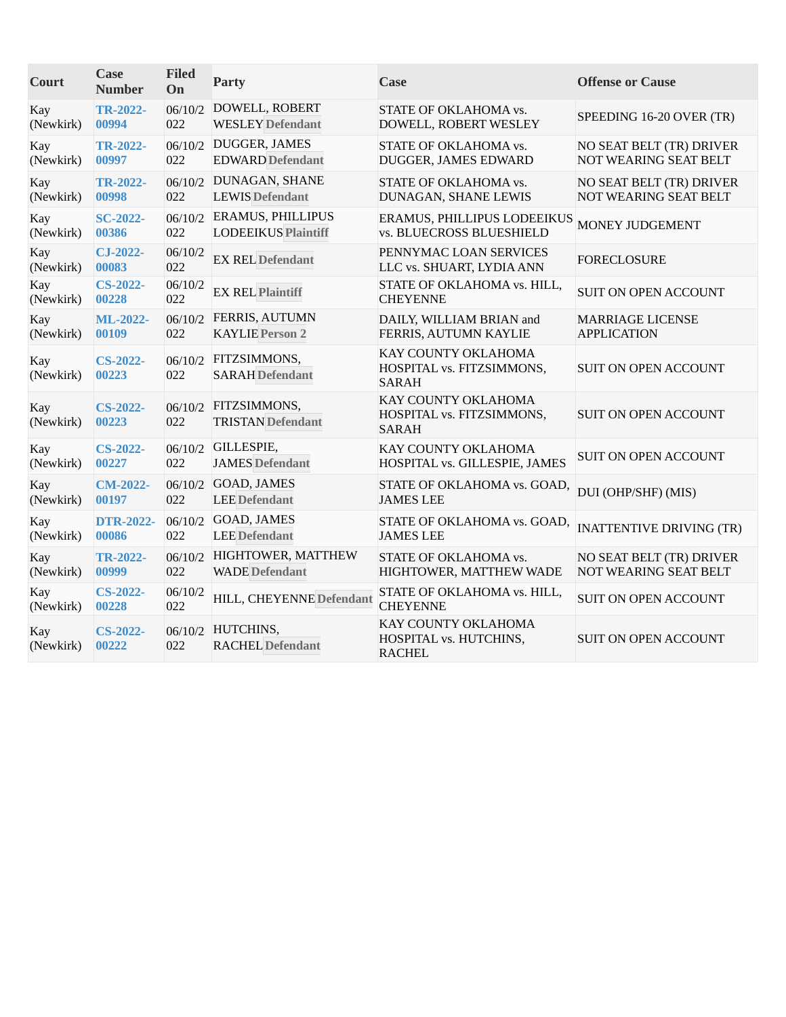| Court            | Case<br><b>Number</b>    | <b>Filed</b><br>On | <b>Party</b>                                     | Case                                                             | <b>Offense or Cause</b>         |
|------------------|--------------------------|--------------------|--------------------------------------------------|------------------------------------------------------------------|---------------------------------|
| Kay              | <b>TR-2022-</b>          | 06/10/2            | DOWELL, ROBERT                                   | STATE OF OKLAHOMA vs.                                            | SPEEDING 16-20 OVER (TR)        |
| (Newkirk)        | 00994                    | 022                | <b>WESLEY</b> Defendant                          | DOWELL, ROBERT WESLEY                                            |                                 |
| Kay              | <b>TR-2022-</b>          | 06/10/2            | DUGGER, JAMES                                    | STATE OF OKLAHOMA vs.                                            | NO SEAT BELT (TR) DRIVER        |
| (Newkirk)        | 00997                    | 022                | <b>EDWARD Defendant</b>                          | DUGGER, JAMES EDWARD                                             | NOT WEARING SEAT BELT           |
| Kay              | <b>TR-2022-</b>          | 06/10/2            | DUNAGAN, SHANE                                   | STATE OF OKLAHOMA vs.                                            | NO SEAT BELT (TR) DRIVER        |
| (Newkirk)        | 00998                    | 022                | <b>LEWIS Defendant</b>                           | DUNAGAN, SHANE LEWIS                                             | NOT WEARING SEAT BELT           |
| Kay              | <b>SC-2022-</b>          | 06/10/2            | <b>ERAMUS, PHILLIPUS</b>                         | ERAMUS, PHILLIPUS LODEEIKUS                                      | MONEY JUDGEMENT                 |
| (Newkirk)        | 00386                    | 022                | <b>LODEEIKUS Plaintiff</b>                       | <b>vs. BLUECROSS BLUESHIELD</b>                                  |                                 |
| Kay<br>(Newkirk) | CJ-2022-<br>00083        | 06/10/2<br>022     | <b>EX REL Defendant</b>                          | PENNYMAC LOAN SERVICES<br>LLC vs. SHUART, LYDIA ANN              | <b>FORECLOSURE</b>              |
| Kay<br>(Newkirk) | <b>CS-2022-</b><br>00228 | 06/10/2<br>022     | <b>EX REL Plaintiff</b>                          | STATE OF OKLAHOMA vs. HILL,<br><b>CHEYENNE</b>                   | <b>SUIT ON OPEN ACCOUNT</b>     |
| Kay              | ML-2022-                 | 06/10/2            | FERRIS, AUTUMN                                   | DAILY, WILLIAM BRIAN and                                         | <b>MARRIAGE LICENSE</b>         |
| (Newkirk)        | 00109                    | 022                | <b>KAYLIE Person 2</b>                           | FERRIS, AUTUMN KAYLIE                                            | <b>APPLICATION</b>              |
| Kay<br>(Newkirk) | <b>CS-2022-</b><br>00223 | 06/10/2<br>022     | FITZSIMMONS,<br><b>SARAH</b> Defendant           | KAY COUNTY OKLAHOMA<br>HOSPITAL vs. FITZSIMMONS,<br><b>SARAH</b> | <b>SUIT ON OPEN ACCOUNT</b>     |
| Kay<br>(Newkirk) | <b>CS-2022-</b><br>00223 | 022                | 06/10/2 FITZSIMMONS,<br><b>TRISTAN Defendant</b> | KAY COUNTY OKLAHOMA<br>HOSPITAL vs. FITZSIMMONS,<br><b>SARAH</b> | <b>SUIT ON OPEN ACCOUNT</b>     |
| Kay              | <b>CS-2022-</b>          | 06/10/2            | GILLESPIE,                                       | KAY COUNTY OKLAHOMA                                              | <b>SUIT ON OPEN ACCOUNT</b>     |
| (Newkirk)        | 00227                    | 022                | <b>JAMES</b> Defendant                           | HOSPITAL vs. GILLESPIE, JAMES                                    |                                 |
| Kay              | <b>CM-2022-</b>          | 06/10/2            | <b>GOAD, JAMES</b>                               | STATE OF OKLAHOMA vs. GOAD,                                      | DUI (OHP/SHF) (MIS)             |
| (Newkirk)        | 00197                    | 022                | <b>LEE</b> Defendant                             | <b>JAMES LEE</b>                                                 |                                 |
| Kay              | <b>DTR-2022-</b>         | 06/10/2            | <b>GOAD, JAMES</b>                               | STATE OF OKLAHOMA vs. GOAD,                                      | <b>INATTENTIVE DRIVING (TR)</b> |
| (Newkirk)        | 00086                    | 022                | <b>LEE</b> Defendant                             | <b>JAMES LEE</b>                                                 |                                 |
| Kay              | <b>TR-2022-</b>          | 06/10/2            | HIGHTOWER, MATTHEW                               | STATE OF OKLAHOMA vs.                                            | NO SEAT BELT (TR) DRIVER        |
| (Newkirk)        | 00999                    | 022                | <b>WADE</b> Defendant                            | HIGHTOWER, MATTHEW WADE                                          | NOT WEARING SEAT BELT           |
| Kay<br>(Newkirk) | <b>CS-2022-</b><br>00228 | 06/10/2<br>022     | HILL, CHEYENNE Defendant                         | STATE OF OKLAHOMA vs. HILL,<br><b>CHEYENNE</b>                   | <b>SUIT ON OPEN ACCOUNT</b>     |
| Kay<br>(Newkirk) | <b>CS-2022-</b><br>00222 | 06/10/2<br>022     | HUTCHINS,<br><b>RACHEL Defendant</b>             | KAY COUNTY OKLAHOMA<br>HOSPITAL vs. HUTCHINS,<br><b>RACHEL</b>   | <b>SUIT ON OPEN ACCOUNT</b>     |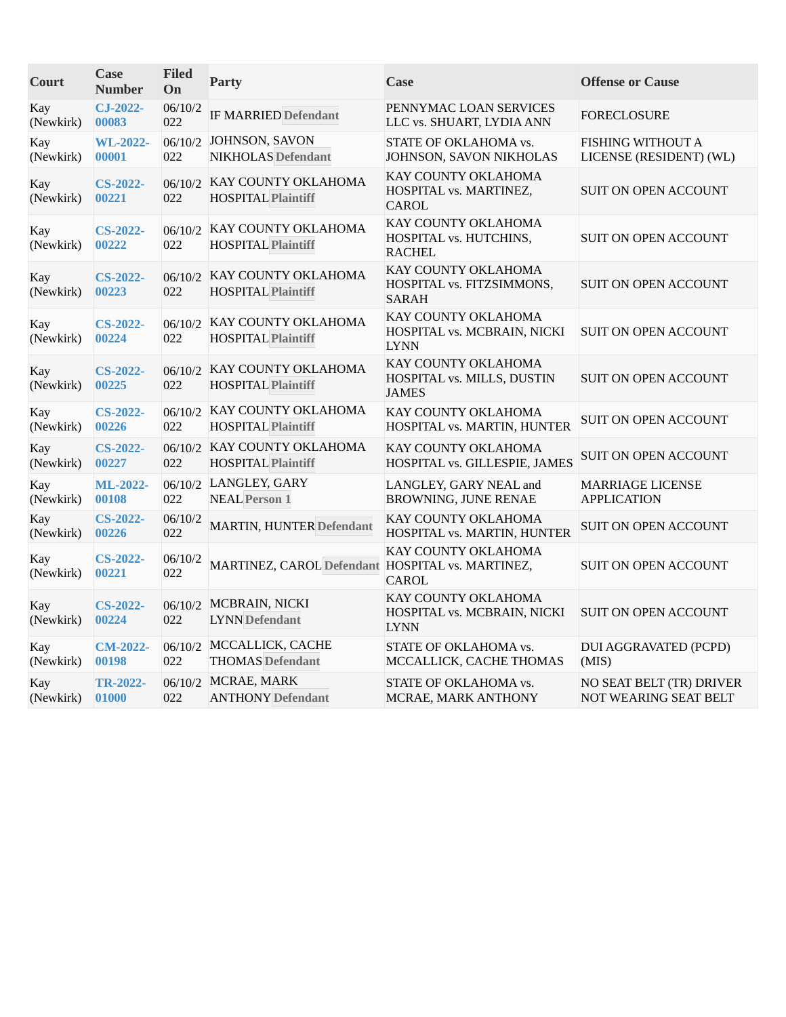| Court            | <b>Case</b><br><b>Number</b> | <b>Filed</b><br>On | <b>Party</b>                                             | Case                                                              | <b>Offense or Cause</b>                             |
|------------------|------------------------------|--------------------|----------------------------------------------------------|-------------------------------------------------------------------|-----------------------------------------------------|
| Kay<br>(Newkirk) | $CJ-2022-$<br>00083          | 06/10/2<br>022     | <b>IF MARRIED Defendant</b>                              | PENNYMAC LOAN SERVICES<br>LLC vs. SHUART, LYDIA ANN               | <b>FORECLOSURE</b>                                  |
| Kay<br>(Newkirk) | <b>WL-2022-</b><br>00001     | 06/10/2<br>022     | JOHNSON, SAVON<br>NIKHOLAS Defendant                     | STATE OF OKLAHOMA vs.<br>JOHNSON, SAVON NIKHOLAS                  | <b>FISHING WITHOUT A</b><br>LICENSE (RESIDENT) (WL) |
| Kay<br>(Newkirk) | <b>CS-2022-</b><br>00221     | 022                | 06/10/2 KAY COUNTY OKLAHOMA<br><b>HOSPITAL Plaintiff</b> | KAY COUNTY OKLAHOMA<br>HOSPITAL vs. MARTINEZ,<br>CAROL            | <b>SUIT ON OPEN ACCOUNT</b>                         |
| Kay<br>(Newkirk) | <b>CS-2022-</b><br>00222     | 06/10/2<br>022     | KAY COUNTY OKLAHOMA<br><b>HOSPITAL Plaintiff</b>         | KAY COUNTY OKLAHOMA<br>HOSPITAL vs. HUTCHINS,<br><b>RACHEL</b>    | <b>SUIT ON OPEN ACCOUNT</b>                         |
| Kay<br>(Newkirk) | <b>CS-2022-</b><br>00223     | 022                | 06/10/2 KAY COUNTY OKLAHOMA<br><b>HOSPITAL Plaintiff</b> | KAY COUNTY OKLAHOMA<br>HOSPITAL vs. FITZSIMMONS,<br><b>SARAH</b>  | <b>SUIT ON OPEN ACCOUNT</b>                         |
| Kay<br>(Newkirk) | <b>CS-2022-</b><br>00224     | 06/10/2<br>022     | KAY COUNTY OKLAHOMA<br><b>HOSPITAL Plaintiff</b>         | KAY COUNTY OKLAHOMA<br>HOSPITAL vs. MCBRAIN, NICKI<br><b>LYNN</b> | SUIT ON OPEN ACCOUNT                                |
| Kay<br>(Newkirk) | <b>CS-2022-</b><br>00225     | 022                | 06/10/2 KAY COUNTY OKLAHOMA<br><b>HOSPITAL Plaintiff</b> | KAY COUNTY OKLAHOMA<br>HOSPITAL vs. MILLS, DUSTIN<br><b>JAMES</b> | <b>SUIT ON OPEN ACCOUNT</b>                         |
| Kay<br>(Newkirk) | <b>CS-2022-</b><br>00226     | 022                | 06/10/2 KAY COUNTY OKLAHOMA<br><b>HOSPITAL Plaintiff</b> | KAY COUNTY OKLAHOMA<br>HOSPITAL vs. MARTIN, HUNTER                | SUIT ON OPEN ACCOUNT                                |
| Kay<br>(Newkirk) | <b>CS-2022-</b><br>00227     | 06/10/2<br>022     | KAY COUNTY OKLAHOMA<br><b>HOSPITAL Plaintiff</b>         | KAY COUNTY OKLAHOMA<br>HOSPITAL vs. GILLESPIE, JAMES              | <b>SUIT ON OPEN ACCOUNT</b>                         |
| Kay<br>(Newkirk) | ML-2022-<br>00108            | 022                | 06/10/2 LANGLEY, GARY<br><b>NEAL Person 1</b>            | LANGLEY, GARY NEAL and<br>BROWNING, JUNE RENAE                    | <b>MARRIAGE LICENSE</b><br><b>APPLICATION</b>       |
| Kay<br>(Newkirk) | <b>CS-2022-</b><br>00226     | 06/10/2<br>022     | <b>MARTIN, HUNTER Defendant</b>                          | KAY COUNTY OKLAHOMA<br>HOSPITAL vs. MARTIN, HUNTER                | SUIT ON OPEN ACCOUNT                                |
| Kay<br>(Newkirk) | <b>CS-2022-</b><br>00221     | 06/10/2<br>022     | MARTINEZ, CAROL Defendant HOSPITAL vs. MARTINEZ,         | KAY COUNTY OKLAHOMA<br><b>CAROL</b>                               | <b>SUIT ON OPEN ACCOUNT</b>                         |
| Kay<br>(Newkirk) | <b>CS-2022-</b><br>00224     | 022                | 06/10/2 MCBRAIN, NICKI<br><b>LYNN</b> Defendant          | KAY COUNTY OKLAHOMA<br>HOSPITAL vs. MCBRAIN, NICKI<br><b>LYNN</b> | <b>SUIT ON OPEN ACCOUNT</b>                         |
| Kay<br>(Newkirk) | <b>CM-2022-</b><br>00198     | 022                | 06/10/2 MCCALLICK, CACHE<br><b>THOMAS</b> Defendant      | STATE OF OKLAHOMA vs.<br>MCCALLICK, CACHE THOMAS                  | <b>DUI AGGRAVATED (PCPD)</b><br>(MIS)               |
| Kay<br>(Newkirk) | <b>TR-2022-</b><br>01000     | 022                | 06/10/2 MCRAE, MARK<br><b>ANTHONY Defendant</b>          | STATE OF OKLAHOMA vs.<br>MCRAE, MARK ANTHONY                      | NO SEAT BELT (TR) DRIVER<br>NOT WEARING SEAT BELT   |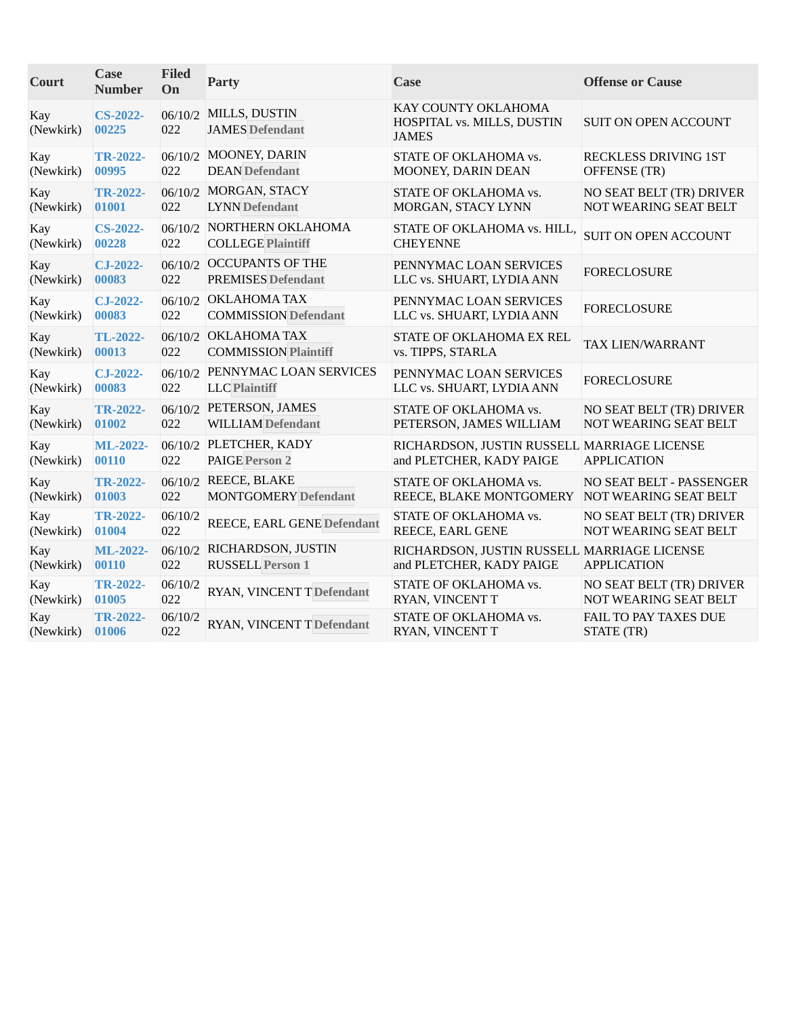| Court            | <b>Case</b><br><b>Number</b> | <b>Filed</b><br>On | Party                                                  | Case                                                                    | <b>Offense or Cause</b>                                  |
|------------------|------------------------------|--------------------|--------------------------------------------------------|-------------------------------------------------------------------------|----------------------------------------------------------|
| Kay<br>(Newkirk) | <b>CS-2022-</b><br>00225     | 06/10/2<br>022     | MILLS, DUSTIN<br><b>JAMES Defendant</b>                | KAY COUNTY OKLAHOMA<br>HOSPITAL vs. MILLS, DUSTIN<br><b>JAMES</b>       | <b>SUIT ON OPEN ACCOUNT</b>                              |
| Kay<br>(Newkirk) | <b>TR-2022-</b><br>00995     | 022                | 06/10/2 MOONEY, DARIN<br><b>DEAN</b> Defendant         | STATE OF OKLAHOMA vs.<br>MOONEY, DARIN DEAN                             | RECKLESS DRIVING 1ST<br>OFFENSE (TR)                     |
| Kay<br>(Newkirk) | <b>TR-2022-</b><br>01001     | 06/10/2<br>022     | MORGAN, STACY<br><b>LYNN</b> Defendant                 | STATE OF OKLAHOMA vs.<br>MORGAN, STACY LYNN                             | NO SEAT BELT (TR) DRIVER<br>NOT WEARING SEAT BELT        |
| Kay<br>(Newkirk) | <b>CS-2022-</b><br>00228     | 022                | 06/10/2 NORTHERN OKLAHOMA<br><b>COLLEGE Plaintiff</b>  | STATE OF OKLAHOMA vs. HILL,<br><b>CHEYENNE</b>                          | <b>SUIT ON OPEN ACCOUNT</b>                              |
| Kay<br>(Newkirk) | CJ-2022-<br>00083            | 022                | 06/10/2 OCCUPANTS OF THE<br><b>PREMISES Defendant</b>  | PENNYMAC LOAN SERVICES<br>LLC vs. SHUART, LYDIA ANN                     | <b>FORECLOSURE</b>                                       |
| Kay<br>(Newkirk) | CJ-2022-<br>00083            | 022                | 06/10/2 OKLAHOMA TAX<br><b>COMMISSION Defendant</b>    | PENNYMAC LOAN SERVICES<br>LLC vs. SHUART, LYDIA ANN                     | <b>FORECLOSURE</b>                                       |
| Kay<br>(Newkirk) | TL-2022-<br>00013            | 022                | 06/10/2 OKLAHOMA TAX<br><b>COMMISSION Plaintiff</b>    | STATE OF OKLAHOMA EX REL<br>vs. TIPPS, STARLA                           | TAX LIEN/WARRANT                                         |
| Kay<br>(Newkirk) | CJ-2022-<br>00083            | 022                | 06/10/2 PENNYMAC LOAN SERVICES<br><b>LLC</b> Plaintiff | PENNYMAC LOAN SERVICES<br>LLC vs. SHUART, LYDIA ANN                     | <b>FORECLOSURE</b>                                       |
| Kay<br>(Newkirk) | <b>TR-2022-</b><br>01002     | 022                | 06/10/2 PETERSON, JAMES<br><b>WILLIAM Defendant</b>    | STATE OF OKLAHOMA vs.<br>PETERSON, JAMES WILLIAM                        | NO SEAT BELT (TR) DRIVER<br><b>NOT WEARING SEAT BELT</b> |
| Kay<br>(Newkirk) | ML-2022-<br>00110            | 022                | 06/10/2 PLETCHER, KADY<br><b>PAIGE Person 2</b>        | RICHARDSON, JUSTIN RUSSELL MARRIAGE LICENSE<br>and PLETCHER, KADY PAIGE | <b>APPLICATION</b>                                       |
| Kay<br>(Newkirk) | <b>TR-2022-</b><br>01003     | 06/10/2<br>022     | REECE, BLAKE<br><b>MONTGOMERY Defendant</b>            | STATE OF OKLAHOMA vs.<br>REECE, BLAKE MONTGOMERY                        | NO SEAT BELT - PASSENGER<br><b>NOT WEARING SEAT BELT</b> |
| Kay<br>(Newkirk) | <b>TR-2022-</b><br>01004     | 06/10/2<br>022     | REECE, EARL GENE Defendant                             | STATE OF OKLAHOMA vs.<br>REECE, EARL GENE                               | NO SEAT BELT (TR) DRIVER<br><b>NOT WEARING SEAT BELT</b> |
| Kay<br>(Newkirk) | ML-2022-<br>00110            | 022                | 06/10/2 RICHARDSON, JUSTIN<br><b>RUSSELL Person 1</b>  | RICHARDSON, JUSTIN RUSSELL MARRIAGE LICENSE<br>and PLETCHER, KADY PAIGE | <b>APPLICATION</b>                                       |
| Kay<br>(Newkirk) | <b>TR-2022-</b><br>01005     | 06/10/2<br>022     | RYAN, VINCENT TDefendant                               | STATE OF OKLAHOMA vs.<br>RYAN, VINCENT T                                | NO SEAT BELT (TR) DRIVER<br>NOT WEARING SEAT BELT        |
| Kay<br>(Newkirk) | <b>TR-2022-</b><br>01006     | 06/10/2<br>022     | RYAN, VINCENT T Defendant                              | STATE OF OKLAHOMA vs.<br>RYAN, VINCENT T                                | FAIL TO PAY TAXES DUE<br>STATE (TR)                      |